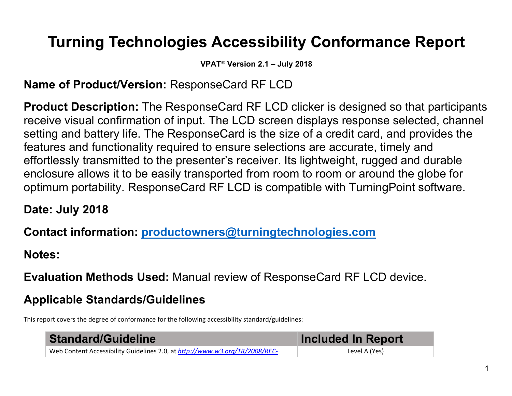# **Turning Technologies Accessibility Conformance Report**

**VPAT**® **Version 2.1 – July 2018**

# **Name of Product/Version:** ResponseCard RF LCD

**Product Description:** The ResponseCard RF LCD clicker is designed so that participants receive visual confirmation of input. The LCD screen displays response selected, channel setting and battery life. The ResponseCard is the size of a credit card, and provides the features and functionality required to ensure selections are accurate, timely and effortlessly transmitted to the presenter's receiver. Its lightweight, rugged and durable enclosure allows it to be easily transported from room to room or around the globe for optimum portability. ResponseCard RF LCD is compatible with TurningPoint software.

**Date: July 2018**

**Contact information: productowners@turningtechnologies.com**

**Notes:** 

**Evaluation Methods Used:** Manual review of ResponseCard RF LCD device.

# **Applicable Standards/Guidelines**

This report covers the degree of conformance for the following accessibility standard/guidelines:

| <b>Standard/Guideline</b>                                                   | <b>Included In Report</b> |
|-----------------------------------------------------------------------------|---------------------------|
| Web Content Accessibility Guidelines 2.0, at http://www.w3.org/TR/2008/REC- | Level A (Yes)             |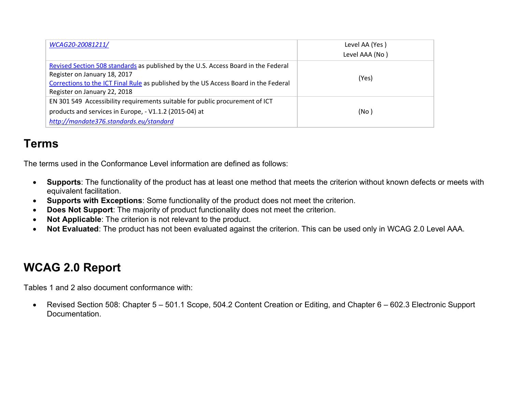| WCAG20-20081211/                                                                                                                                                                                                                           | Level AA (Yes) |
|--------------------------------------------------------------------------------------------------------------------------------------------------------------------------------------------------------------------------------------------|----------------|
|                                                                                                                                                                                                                                            | Level AAA (No) |
| Revised Section 508 standards as published by the U.S. Access Board in the Federal<br>Register on January 18, 2017<br>Corrections to the ICT Final Rule as published by the US Access Board in the Federal<br>Register on January 22, 2018 | (Yes)          |
| EN 301 549 Accessibility requirements suitable for public procurement of ICT<br>products and services in Europe, - V1.1.2 (2015-04) at<br>http://mandate376.standards.eu/standard                                                          | (No)           |

## **Terms**

The terms used in the Conformance Level information are defined as follows:

- **Supports**: The functionality of the product has at least one method that meets the criterion without known defects or meets with equivalent facilitation.
- **Supports with Exceptions**: Some functionality of the product does not meet the criterion.
- **Does Not Support**: The majority of product functionality does not meet the criterion.
- **Not Applicable**: The criterion is not relevant to the product.
- **Not Evaluated**: The product has not been evaluated against the criterion. This can be used only in WCAG 2.0 Level AAA.

## **WCAG 2.0 Report**

Tables 1 and 2 also document conformance with:

• Revised Section 508: Chapter 5 – 501.1 Scope, 504.2 Content Creation or Editing, and Chapter 6 – 602.3 Electronic Support Documentation.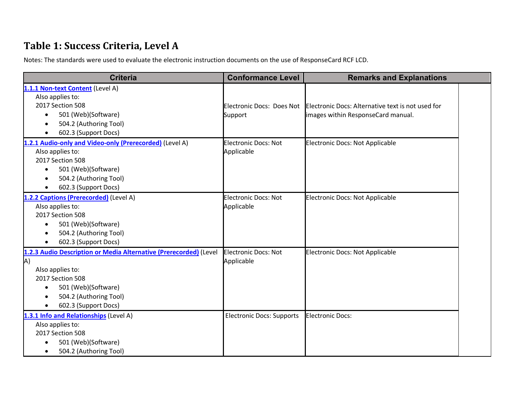#### Table 1: Success Criteria, Level A

Notes: The standards were used to evaluate the electronic instruction documents on the use of ResponseCard RCF LCD.

| <b>Criteria</b>                                                   | <b>Conformance Level</b>         | <b>Remarks and Explanations</b>                   |
|-------------------------------------------------------------------|----------------------------------|---------------------------------------------------|
| 1.1.1 Non-text Content (Level A)                                  |                                  |                                                   |
| Also applies to:                                                  |                                  |                                                   |
| 2017 Section 508                                                  | Electronic Docs: Does Not        | Electronic Docs: Alternative text is not used for |
| 501 (Web)(Software)<br>$\bullet$                                  | Support                          | images within ResponseCard manual.                |
| 504.2 (Authoring Tool)                                            |                                  |                                                   |
| 602.3 (Support Docs)                                              |                                  |                                                   |
| 1.2.1 Audio-only and Video-only (Prerecorded) (Level A)           | <b>Electronic Docs: Not</b>      | <b>Electronic Docs: Not Applicable</b>            |
| Also applies to:                                                  | Applicable                       |                                                   |
| 2017 Section 508                                                  |                                  |                                                   |
| 501 (Web)(Software)<br>$\bullet$                                  |                                  |                                                   |
| 504.2 (Authoring Tool)                                            |                                  |                                                   |
| 602.3 (Support Docs)                                              |                                  |                                                   |
| 1.2.2 Captions (Prerecorded) (Level A)                            | <b>Electronic Docs: Not</b>      | <b>Electronic Docs: Not Applicable</b>            |
| Also applies to:                                                  | Applicable                       |                                                   |
| 2017 Section 508                                                  |                                  |                                                   |
| 501 (Web)(Software)<br>$\bullet$                                  |                                  |                                                   |
| 504.2 (Authoring Tool)                                            |                                  |                                                   |
| 602.3 (Support Docs)                                              |                                  |                                                   |
| 1.2.3 Audio Description or Media Alternative (Prerecorded) (Level | Electronic Docs: Not             | <b>Electronic Docs: Not Applicable</b>            |
| A)                                                                | Applicable                       |                                                   |
| Also applies to:                                                  |                                  |                                                   |
| 2017 Section 508                                                  |                                  |                                                   |
| 501 (Web)(Software)                                               |                                  |                                                   |
| 504.2 (Authoring Tool)                                            |                                  |                                                   |
| 602.3 (Support Docs)                                              |                                  |                                                   |
| 1.3.1 Info and Relationships (Level A)                            | <b>Electronic Docs: Supports</b> | <b>Electronic Docs:</b>                           |
| Also applies to:                                                  |                                  |                                                   |
| 2017 Section 508                                                  |                                  |                                                   |
| 501 (Web)(Software)                                               |                                  |                                                   |
| 504.2 (Authoring Tool)                                            |                                  |                                                   |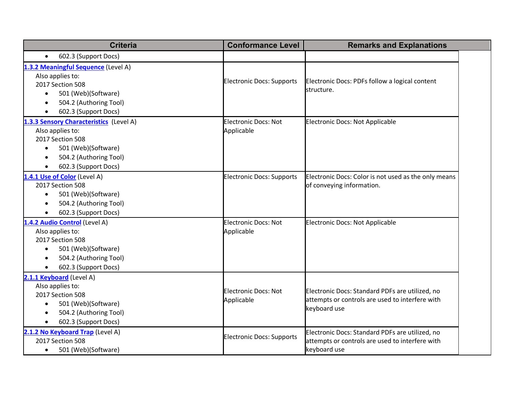| <b>Criteria</b>                                                                                                                                                                    | <b>Conformance Level</b>                  | <b>Remarks and Explanations</b>                                                                                    |
|------------------------------------------------------------------------------------------------------------------------------------------------------------------------------------|-------------------------------------------|--------------------------------------------------------------------------------------------------------------------|
| 602.3 (Support Docs)<br>$\bullet$                                                                                                                                                  |                                           |                                                                                                                    |
| 1.3.2 Meaningful Sequence (Level A)<br>Also applies to:<br>2017 Section 508<br>501 (Web)(Software)<br>$\bullet$<br>504.2 (Authoring Tool)<br>602.3 (Support Docs)                  | <b>Electronic Docs: Supports</b>          | Electronic Docs: PDFs follow a logical content<br>structure.                                                       |
| 1.3.3 Sensory Characteristics (Level A)<br>Also applies to:<br>2017 Section 508<br>501 (Web)(Software)<br>$\bullet$<br>504.2 (Authoring Tool)<br>$\bullet$<br>602.3 (Support Docs) | <b>Electronic Docs: Not</b><br>Applicable | <b>Electronic Docs: Not Applicable</b>                                                                             |
| 1.4.1 Use of Color (Level A)<br>2017 Section 508<br>501 (Web)(Software)<br>$\bullet$<br>504.2 (Authoring Tool)<br>602.3 (Support Docs)                                             | <b>Electronic Docs: Supports</b>          | Electronic Docs: Color is not used as the only means<br>of conveying information.                                  |
| 1.4.2 Audio Control (Level A)<br>Also applies to:<br>2017 Section 508<br>501 (Web)(Software)<br>$\bullet$<br>504.2 (Authoring Tool)<br>602.3 (Support Docs)                        | <b>Electronic Docs: Not</b><br>Applicable | <b>Electronic Docs: Not Applicable</b>                                                                             |
| 2.1.1 Keyboard (Level A)<br>Also applies to:<br>2017 Section 508<br>501 (Web)(Software)<br>$\bullet$<br>504.2 (Authoring Tool)<br>602.3 (Support Docs)                             | <b>Electronic Docs: Not</b><br>Applicable | Electronic Docs: Standard PDFs are utilized, no<br>attempts or controls are used to interfere with<br>keyboard use |
| 2.1.2 No Keyboard Trap (Level A)<br>2017 Section 508<br>501 (Web)(Software)<br>$\bullet$                                                                                           | <b>Electronic Docs: Supports</b>          | Electronic Docs: Standard PDFs are utilized, no<br>attempts or controls are used to interfere with<br>keyboard use |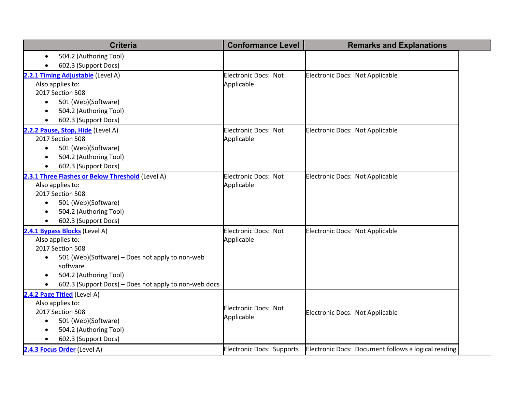| <b>Criteria</b>                                              | <b>Conformance Level</b>         | <b>Remarks and Explanations</b>                     |
|--------------------------------------------------------------|----------------------------------|-----------------------------------------------------|
| 504.2 (Authoring Tool)                                       |                                  |                                                     |
| 602.3 (Support Docs)                                         |                                  |                                                     |
| 2.2.1 Timing Adjustable (Level A)                            | Electronic Docs: Not             | Electronic Docs: Not Applicable                     |
| Also applies to:                                             | Applicable                       |                                                     |
| 2017 Section 508                                             |                                  |                                                     |
| 501 (Web)(Software)                                          |                                  |                                                     |
| 504.2 (Authoring Tool)                                       |                                  |                                                     |
| 602.3 (Support Docs)                                         |                                  |                                                     |
| 2.2.2 Pause, Stop, Hide (Level A)                            | <b>Electronic Docs: Not</b>      | Electronic Docs: Not Applicable                     |
| 2017 Section 508                                             | Applicable                       |                                                     |
| 501 (Web)(Software)<br>$\bullet$                             |                                  |                                                     |
| 504.2 (Authoring Tool)                                       |                                  |                                                     |
| 602.3 (Support Docs)                                         |                                  |                                                     |
| 2.3.1 Three Flashes or Below Threshold (Level A)             | <b>Electronic Docs: Not</b>      | Electronic Docs: Not Applicable                     |
| Also applies to:                                             | Applicable                       |                                                     |
| 2017 Section 508                                             |                                  |                                                     |
| 501 (Web)(Software)                                          |                                  |                                                     |
| 504.2 (Authoring Tool)                                       |                                  |                                                     |
| 602.3 (Support Docs)                                         |                                  |                                                     |
| 2.4.1 Bypass Blocks (Level A)                                | <b>Electronic Docs: Not</b>      | Electronic Docs: Not Applicable                     |
| Also applies to:                                             | Applicable                       |                                                     |
| 2017 Section 508                                             |                                  |                                                     |
| 501 (Web)(Software) - Does not apply to non-web<br>$\bullet$ |                                  |                                                     |
| software                                                     |                                  |                                                     |
| 504.2 (Authoring Tool)                                       |                                  |                                                     |
| 602.3 (Support Docs) - Does not apply to non-web docs        |                                  |                                                     |
| 2.4.2 Page Titled (Level A)                                  |                                  |                                                     |
| Also applies to:                                             | <b>Electronic Docs: Not</b>      |                                                     |
| 2017 Section 508                                             | Applicable                       | Electronic Docs: Not Applicable                     |
| 501 (Web)(Software)                                          |                                  |                                                     |
| 504.2 (Authoring Tool)                                       |                                  |                                                     |
| 602.3 (Support Docs)                                         |                                  |                                                     |
| 2.4.3 Focus Order (Level A)                                  | <b>Electronic Docs: Supports</b> | Electronic Docs: Document follows a logical reading |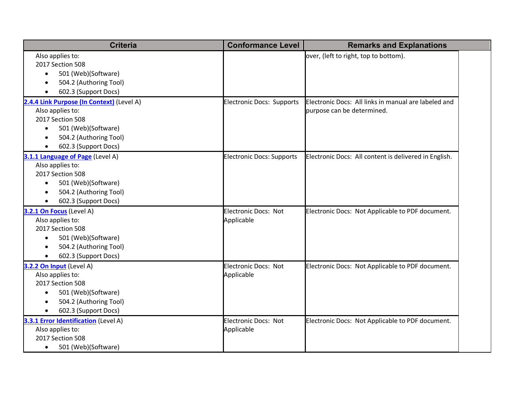| <b>Criteria</b>                             | <b>Conformance Level</b>         | <b>Remarks and Explanations</b>                       |  |
|---------------------------------------------|----------------------------------|-------------------------------------------------------|--|
| Also applies to:                            |                                  | over, (left to right, top to bottom).                 |  |
| 2017 Section 508                            |                                  |                                                       |  |
| 501 (Web)(Software)<br>$\bullet$            |                                  |                                                       |  |
| 504.2 (Authoring Tool)<br>$\bullet$         |                                  |                                                       |  |
| 602.3 (Support Docs)<br>$\bullet$           |                                  |                                                       |  |
| 2.4.4 Link Purpose (In Context) (Level A)   | Electronic Docs: Supports        | Electronic Docs: All links in manual are labeled and  |  |
| Also applies to:                            |                                  | purpose can be determined.                            |  |
| 2017 Section 508                            |                                  |                                                       |  |
| 501 (Web)(Software)<br>$\bullet$            |                                  |                                                       |  |
| 504.2 (Authoring Tool)                      |                                  |                                                       |  |
| 602.3 (Support Docs)                        |                                  |                                                       |  |
| 3.1.1 Language of Page (Level A)            | <b>Electronic Docs: Supports</b> | Electronic Docs: All content is delivered in English. |  |
| Also applies to:                            |                                  |                                                       |  |
| 2017 Section 508                            |                                  |                                                       |  |
| 501 (Web)(Software)<br>$\bullet$            |                                  |                                                       |  |
| 504.2 (Authoring Tool)<br>$\bullet$         |                                  |                                                       |  |
| 602.3 (Support Docs)                        |                                  |                                                       |  |
| 3.2.1 On Focus (Level A)                    | <b>Electronic Docs: Not</b>      | Electronic Docs: Not Applicable to PDF document.      |  |
| Also applies to:                            | Applicable                       |                                                       |  |
| 2017 Section 508                            |                                  |                                                       |  |
| 501 (Web)(Software)<br>$\bullet$            |                                  |                                                       |  |
| 504.2 (Authoring Tool)<br>$\bullet$         |                                  |                                                       |  |
| 602.3 (Support Docs)                        |                                  |                                                       |  |
| 3.2.2 On Input (Level A)                    | Electronic Docs: Not             | Electronic Docs: Not Applicable to PDF document.      |  |
| Also applies to:                            | Applicable                       |                                                       |  |
| 2017 Section 508                            |                                  |                                                       |  |
| 501 (Web)(Software)<br>$\bullet$            |                                  |                                                       |  |
| 504.2 (Authoring Tool)                      |                                  |                                                       |  |
| 602.3 (Support Docs)                        |                                  |                                                       |  |
| <b>3.3.1 Error Identification (Level A)</b> | Electronic Docs: Not             | Electronic Docs: Not Applicable to PDF document.      |  |
| Also applies to:                            | Applicable                       |                                                       |  |
| 2017 Section 508                            |                                  |                                                       |  |
| 501 (Web)(Software)<br>$\bullet$            |                                  |                                                       |  |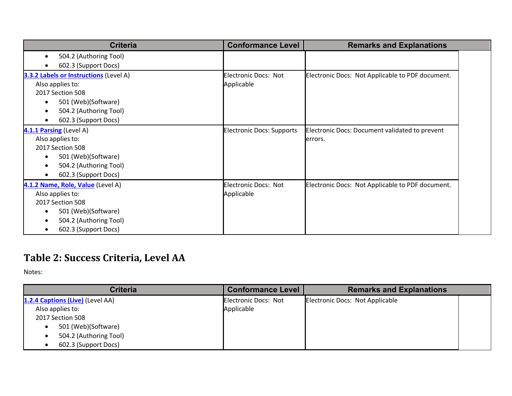| <b>Criteria</b>                                                                                                                                                | <b>Conformance Level</b>                  | <b>Remarks and Explanations</b>                            |
|----------------------------------------------------------------------------------------------------------------------------------------------------------------|-------------------------------------------|------------------------------------------------------------|
| 504.2 (Authoring Tool)<br>٠<br>602.3 (Support Docs)                                                                                                            |                                           |                                                            |
| <b>3.3.2 Labels or Instructions (Level A)</b><br>Also applies to:<br>2017 Section 508<br>501 (Web)(Software)<br>504.2 (Authoring Tool)<br>602.3 (Support Docs) | <b>Electronic Docs: Not</b><br>Applicable | Electronic Docs: Not Applicable to PDF document.           |
| 4.1.1 Parsing (Level A)<br>Also applies to:<br>2017 Section 508<br>501 (Web)(Software)<br>504.2 (Authoring Tool)<br>602.3 (Support Docs)                       | <b>Electronic Docs: Supports</b>          | Electronic Docs: Document validated to prevent<br>lerrors. |
| 4.1.2 Name, Role, Value (Level A)<br>Also applies to:<br>2017 Section 508<br>501 (Web)(Software)<br>504.2 (Authoring Tool)<br>602.3 (Support Docs)             | <b>Electronic Docs: Not</b><br>Applicable | Electronic Docs: Not Applicable to PDF document.           |

## Table 2: Success Criteria, Level AA

| <b>Criteria</b>                  | <b>Conformance Level</b> | <b>Remarks and Explanations</b> |
|----------------------------------|--------------------------|---------------------------------|
| 1.2.4 Captions (Live) (Level AA) | Electronic Docs: Not     | Electronic Docs: Not Applicable |
| Also applies to:                 | Applicable               |                                 |
| 2017 Section 508                 |                          |                                 |
| 501 (Web)(Software)              |                          |                                 |
| 504.2 (Authoring Tool)           |                          |                                 |
| 602.3 (Support Docs)             |                          |                                 |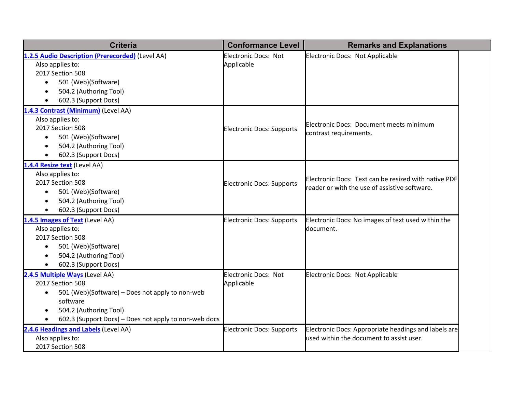| <b>Criteria</b>                                                                                                                                                                                                   | <b>Conformance Level</b>                  | <b>Remarks and Explanations</b>                                                                       |  |
|-------------------------------------------------------------------------------------------------------------------------------------------------------------------------------------------------------------------|-------------------------------------------|-------------------------------------------------------------------------------------------------------|--|
| 1.2.5 Audio Description (Prerecorded) (Level AA)<br>Also applies to:<br>2017 Section 508<br>501 (Web)(Software)<br>$\bullet$<br>504.2 (Authoring Tool)<br>602.3 (Support Docs)                                    | Electronic Docs: Not<br>Applicable        | Electronic Docs: Not Applicable                                                                       |  |
| 1.4.3 Contrast (Minimum) (Level AA)<br>Also applies to:<br>2017 Section 508<br>501 (Web)(Software)<br>$\bullet$<br>504.2 (Authoring Tool)<br>602.3 (Support Docs)                                                 | <b>Electronic Docs: Supports</b>          | Electronic Docs: Document meets minimum<br>contrast requirements.                                     |  |
| 1.4.4 Resize text (Level AA)<br>Also applies to:<br>2017 Section 508<br>501 (Web)(Software)<br>$\bullet$<br>504.2 (Authoring Tool)<br>$\bullet$<br>602.3 (Support Docs)<br>$\bullet$                              | <b>Electronic Docs: Supports</b>          | Electronic Docs: Text can be resized with native PDF<br>reader or with the use of assistive software. |  |
| 1.4.5 Images of Text (Level AA)<br>Also applies to:<br>2017 Section 508<br>501 (Web)(Software)<br>$\bullet$<br>504.2 (Authoring Tool)<br>$\bullet$<br>602.3 (Support Docs)                                        | <b>Electronic Docs: Supports</b>          | Electronic Docs: No images of text used within the<br>document.                                       |  |
| 2.4.5 Multiple Ways (Level AA)<br>2017 Section 508<br>501 (Web)(Software) - Does not apply to non-web<br>$\bullet$<br>software<br>504.2 (Authoring Tool)<br>602.3 (Support Docs) – Does not apply to non-web docs | <b>Electronic Docs: Not</b><br>Applicable | Electronic Docs: Not Applicable                                                                       |  |
| 2.4.6 Headings and Labels (Level AA)<br>Also applies to:<br>2017 Section 508                                                                                                                                      | <b>Electronic Docs: Supports</b>          | Electronic Docs: Appropriate headings and labels are<br>used within the document to assist user.      |  |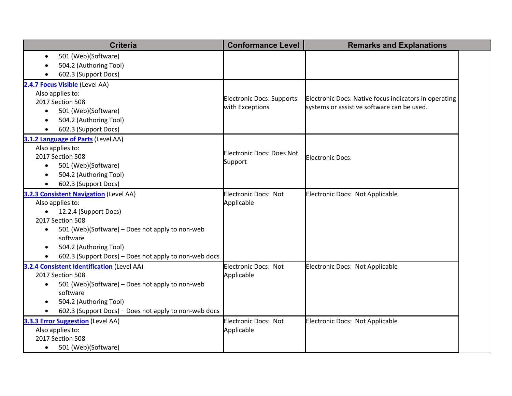| <b>Criteria</b>                                              | <b>Conformance Level</b>         | <b>Remarks and Explanations</b>                                                                     |
|--------------------------------------------------------------|----------------------------------|-----------------------------------------------------------------------------------------------------|
| 501 (Web)(Software)<br>$\bullet$                             |                                  |                                                                                                     |
| 504.2 (Authoring Tool)                                       |                                  |                                                                                                     |
| 602.3 (Support Docs)                                         |                                  |                                                                                                     |
| 2.4.7 Focus Visible (Level AA)                               |                                  |                                                                                                     |
| Also applies to:                                             | <b>Electronic Docs: Supports</b> |                                                                                                     |
| 2017 Section 508                                             | with Exceptions                  | Electronic Docs: Native focus indicators in operating<br>systems or assistive software can be used. |
| 501 (Web)(Software)                                          |                                  |                                                                                                     |
| 504.2 (Authoring Tool)                                       |                                  |                                                                                                     |
| 602.3 (Support Docs)                                         |                                  |                                                                                                     |
| 3.1.2 Language of Parts (Level AA)                           |                                  |                                                                                                     |
| Also applies to:                                             | <b>Electronic Docs: Does Not</b> |                                                                                                     |
| 2017 Section 508                                             | Support                          | <b>Electronic Docs:</b>                                                                             |
| 501 (Web)(Software)<br>$\bullet$                             |                                  |                                                                                                     |
| 504.2 (Authoring Tool)                                       |                                  |                                                                                                     |
| 602.3 (Support Docs)<br>$\bullet$                            |                                  |                                                                                                     |
| 3.2.3 Consistent Navigation (Level AA)                       | <b>Electronic Docs: Not</b>      | Electronic Docs: Not Applicable                                                                     |
| Also applies to:                                             | Applicable                       |                                                                                                     |
| 12.2.4 (Support Docs)<br>$\bullet$                           |                                  |                                                                                                     |
| 2017 Section 508                                             |                                  |                                                                                                     |
| 501 (Web)(Software) - Does not apply to non-web<br>$\bullet$ |                                  |                                                                                                     |
| software                                                     |                                  |                                                                                                     |
| 504.2 (Authoring Tool)                                       |                                  |                                                                                                     |
| 602.3 (Support Docs) – Does not apply to non-web docs        |                                  |                                                                                                     |
| 3.2.4 Consistent Identification (Level AA)                   | Electronic Docs: Not             | Electronic Docs: Not Applicable                                                                     |
| 2017 Section 508                                             | Applicable                       |                                                                                                     |
| 501 (Web)(Software) - Does not apply to non-web<br>$\bullet$ |                                  |                                                                                                     |
| software                                                     |                                  |                                                                                                     |
| 504.2 (Authoring Tool)                                       |                                  |                                                                                                     |
| 602.3 (Support Docs) - Does not apply to non-web docs        |                                  |                                                                                                     |
| 3.3.3 Error Suggestion (Level AA)                            | <b>Electronic Docs: Not</b>      | Electronic Docs: Not Applicable                                                                     |
| Also applies to:                                             | Applicable                       |                                                                                                     |
| 2017 Section 508                                             |                                  |                                                                                                     |
| 501 (Web)(Software)<br>$\bullet$                             |                                  |                                                                                                     |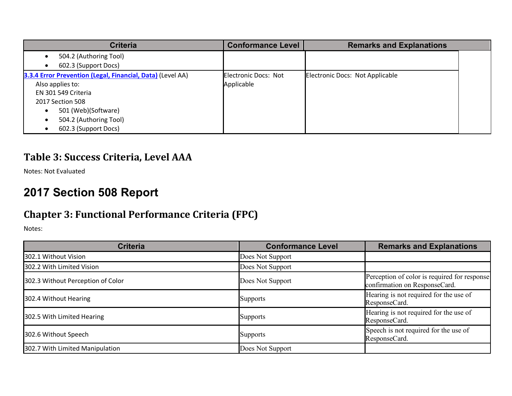| <b>Criteria</b>                                                                                                                                                                                    | <b>Conformance Level</b>           | <b>Remarks and Explanations</b> |
|----------------------------------------------------------------------------------------------------------------------------------------------------------------------------------------------------|------------------------------------|---------------------------------|
| 504.2 (Authoring Tool)<br>602.3 (Support Docs)                                                                                                                                                     |                                    |                                 |
| 3.3.4 Error Prevention (Legal, Financial, Data) (Level AA)<br>Also applies to:<br>EN 301 549 Criteria<br>2017 Section 508<br>501 (Web)(Software)<br>504.2 (Authoring Tool)<br>602.3 (Support Docs) | Electronic Docs: Not<br>Applicable | Electronic Docs: Not Applicable |

#### Table 3: Success Criteria, Level AAA

Notes: Not Evaluated

## **2017 Section 508 Report**

### **Chapter 3: Functional Performance Criteria (FPC)**

| <b>Criteria</b>                   | <b>Conformance Level</b> | <b>Remarks and Explanations</b>                                               |
|-----------------------------------|--------------------------|-------------------------------------------------------------------------------|
| 302.1 Without Vision              | Does Not Support         |                                                                               |
| 302.2 With Limited Vision         | Does Not Support         |                                                                               |
| 302.3 Without Perception of Color | Does Not Support         | Perception of color is required for response<br>confirmation on ResponseCard. |
| 302.4 Without Hearing             | <b>Supports</b>          | Hearing is not required for the use of<br>ResponseCard.                       |
| 302.5 With Limited Hearing        | <b>Supports</b>          | Hearing is not required for the use of<br>ResponseCard.                       |
| 302.6 Without Speech              | <b>Supports</b>          | Speech is not required for the use of<br>ResponseCard.                        |
| 302.7 With Limited Manipulation   | Does Not Support         |                                                                               |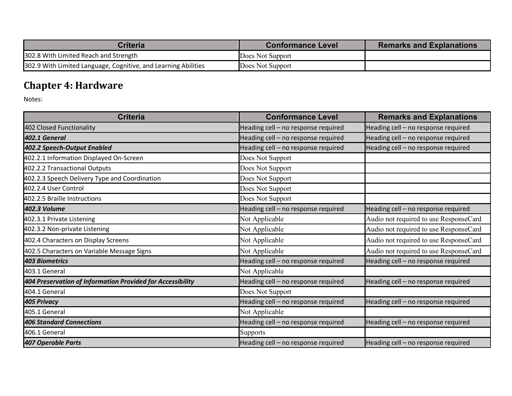| <b>Criteria</b>                                                | Conformance Level | <b>Remarks and Explanations</b> |
|----------------------------------------------------------------|-------------------|---------------------------------|
| 302.8 With Limited Reach and Strength                          | Does Not Support  |                                 |
| 302.9 With Limited Language, Cognitive, and Learning Abilities | Does Not Support  |                                 |

## **Chapter 4: Hardware**

| <b>Criteria</b>                                            | <b>Conformance Level</b>            | <b>Remarks and Explanations</b>        |
|------------------------------------------------------------|-------------------------------------|----------------------------------------|
| 402 Closed Functionality                                   | Heading cell - no response required | Heading cell - no response required    |
| 402.1 General                                              | Heading cell - no response required | Heading cell - no response required    |
| 402.2 Speech-Output Enabled                                | Heading cell - no response required | Heading cell - no response required    |
| 402.2.1 Information Displayed On-Screen                    | Does Not Support                    |                                        |
| 402.2.2 Transactional Outputs                              | Does Not Support                    |                                        |
| 402.2.3 Speech Delivery Type and Coordination              | Does Not Support                    |                                        |
| 402.2.4 User Control                                       | Does Not Support                    |                                        |
| 402.2.5 Braille Instructions                               | Does Not Support                    |                                        |
| 402.3 Volume                                               | Heading cell - no response required | Heading cell - no response required    |
| 402.3.1 Private Listening                                  | Not Applicable                      | Audio not required to use ResponseCard |
| 402.3.2 Non-private Listening                              | Not Applicable                      | Audio not required to use ResponseCard |
| 402.4 Characters on Display Screens                        | Not Applicable                      | Audio not required to use ResponseCard |
| 402.5 Characters on Variable Message Signs                 | Not Applicable                      | Audio not required to use ResponseCard |
| <b>403 Biometrics</b>                                      | Heading cell - no response required | Heading cell - no response required    |
| 403.1 General                                              | Not Applicable                      |                                        |
| 404 Preservation of Information Provided for Accessibility | Heading cell - no response required | Heading cell - no response required    |
| 404.1 General                                              | Does Not Support                    |                                        |
| <b>405 Privacy</b>                                         | Heading cell - no response required | Heading cell - no response required    |
| 405.1 General                                              | Not Applicable                      |                                        |
| <b>406 Standard Connections</b>                            | Heading cell - no response required | Heading cell - no response required    |
| 406.1 General                                              | <b>Supports</b>                     |                                        |
| <b>407 Operable Parts</b>                                  | Heading cell - no response required | Heading cell - no response required    |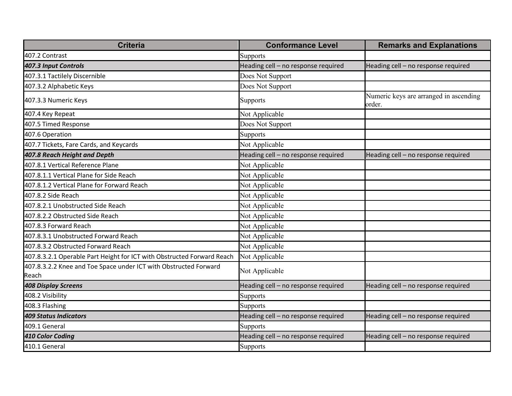| <b>Criteria</b>                                                           | <b>Conformance Level</b>            | <b>Remarks and Explanations</b>                  |
|---------------------------------------------------------------------------|-------------------------------------|--------------------------------------------------|
| 407.2 Contrast                                                            | Supports                            |                                                  |
| 407.3 Input Controls                                                      | Heading cell - no response required | Heading cell - no response required              |
| 407.3.1 Tactilely Discernible                                             | Does Not Support                    |                                                  |
| 407.3.2 Alphabetic Keys                                                   | Does Not Support                    |                                                  |
| 407.3.3 Numeric Keys                                                      | <b>Supports</b>                     | Numeric keys are arranged in ascending<br>order. |
| 407.4 Key Repeat                                                          | Not Applicable                      |                                                  |
| 407.5 Timed Response                                                      | Does Not Support                    |                                                  |
| 407.6 Operation                                                           | Supports                            |                                                  |
| 407.7 Tickets, Fare Cards, and Keycards                                   | Not Applicable                      |                                                  |
| 407.8 Reach Height and Depth                                              | Heading cell - no response required | Heading cell - no response required              |
| 407.8.1 Vertical Reference Plane                                          | Not Applicable                      |                                                  |
| 407.8.1.1 Vertical Plane for Side Reach                                   | Not Applicable                      |                                                  |
| 407.8.1.2 Vertical Plane for Forward Reach                                | Not Applicable                      |                                                  |
| 407.8.2 Side Reach                                                        | Not Applicable                      |                                                  |
| 407.8.2.1 Unobstructed Side Reach                                         | Not Applicable                      |                                                  |
| 407.8.2.2 Obstructed Side Reach                                           | Not Applicable                      |                                                  |
| 407.8.3 Forward Reach                                                     | Not Applicable                      |                                                  |
| 407.8.3.1 Unobstructed Forward Reach                                      | Not Applicable                      |                                                  |
| 407.8.3.2 Obstructed Forward Reach                                        | Not Applicable                      |                                                  |
| 407.8.3.2.1 Operable Part Height for ICT with Obstructed Forward Reach    | Not Applicable                      |                                                  |
| 407.8.3.2.2 Knee and Toe Space under ICT with Obstructed Forward<br>Reach | Not Applicable                      |                                                  |
| <b>408 Display Screens</b>                                                | Heading cell - no response required | Heading cell - no response required              |
| 408.2 Visibility                                                          | Supports                            |                                                  |
| 408.3 Flashing                                                            | Supports                            |                                                  |
| <b>409 Status Indicators</b>                                              | Heading cell - no response required | Heading cell - no response required              |
| 409.1 General                                                             | Supports                            |                                                  |
| 410 Color Coding                                                          | Heading cell - no response required | Heading cell - no response required              |
| 410.1 General                                                             | Supports                            |                                                  |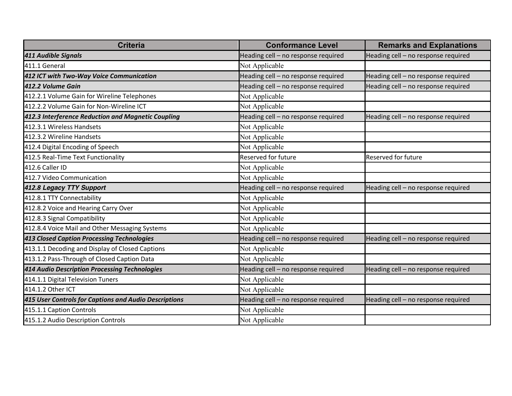| <b>Criteria</b>                                       | <b>Conformance Level</b>            | <b>Remarks and Explanations</b>     |
|-------------------------------------------------------|-------------------------------------|-------------------------------------|
| <b>411 Audible Signals</b>                            | Heading cell - no response required | Heading cell - no response required |
| 411.1 General                                         | Not Applicable                      |                                     |
| 412 ICT with Two-Way Voice Communication              | Heading cell - no response required | Heading cell - no response required |
| 412.2 Volume Gain                                     | Heading cell - no response required | Heading cell - no response required |
| 412.2.1 Volume Gain for Wireline Telephones           | Not Applicable                      |                                     |
| 412.2.2 Volume Gain for Non-Wireline ICT              | Not Applicable                      |                                     |
| 412.3 Interference Reduction and Magnetic Coupling    | Heading cell - no response required | Heading cell - no response required |
| 412.3.1 Wireless Handsets                             | Not Applicable                      |                                     |
| 412.3.2 Wireline Handsets                             | Not Applicable                      |                                     |
| 412.4 Digital Encoding of Speech                      | Not Applicable                      |                                     |
| 412.5 Real-Time Text Functionality                    | <b>Reserved for future</b>          | <b>Reserved for future</b>          |
| 412.6 Caller ID                                       | Not Applicable                      |                                     |
| 412.7 Video Communication                             | Not Applicable                      |                                     |
| 412.8 Legacy TTY Support                              | Heading cell - no response required | Heading cell - no response required |
| 412.8.1 TTY Connectability                            | Not Applicable                      |                                     |
| 412.8.2 Voice and Hearing Carry Over                  | Not Applicable                      |                                     |
| 412.8.3 Signal Compatibility                          | Not Applicable                      |                                     |
| 412.8.4 Voice Mail and Other Messaging Systems        | Not Applicable                      |                                     |
| 413 Closed Caption Processing Technologies            | Heading cell - no response required | Heading cell - no response required |
| 413.1.1 Decoding and Display of Closed Captions       | Not Applicable                      |                                     |
| 413.1.2 Pass-Through of Closed Caption Data           | Not Applicable                      |                                     |
| 414 Audio Description Processing Technologies         | Heading cell - no response required | Heading cell - no response required |
| 414.1.1 Digital Television Tuners                     | Not Applicable                      |                                     |
| 414.1.2 Other ICT                                     | Not Applicable                      |                                     |
| 415 User Controls for Captions and Audio Descriptions | Heading cell - no response required | Heading cell - no response required |
| 415.1.1 Caption Controls                              | Not Applicable                      |                                     |
| 415.1.2 Audio Description Controls                    | Not Applicable                      |                                     |